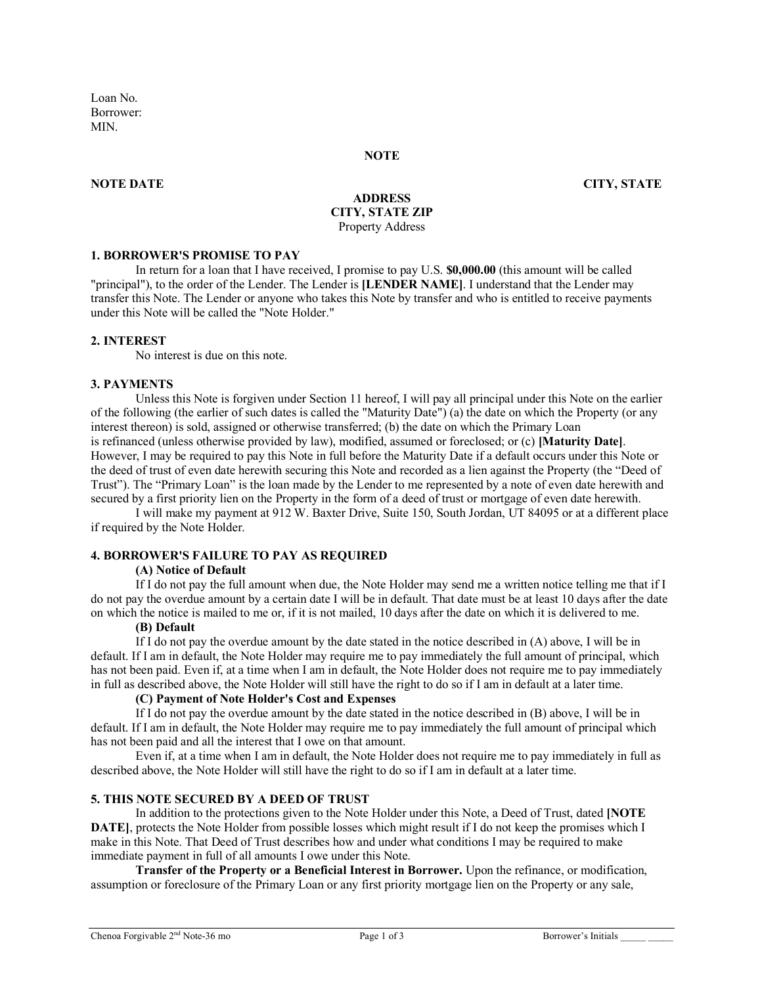Loan No. Borrower: **MIN** 

#### **NOTE**

#### **NOTE DATE CITY, STATE**

### **ADDRESS CITY, STATE ZIP** Property Address

#### **1. BORROWER'S PROMISE TO PAY**

In return for a loan that I have received, I promise to pay U.S. **\$0,000.00** (this amount will be called "principal"), to the order of the Lender. The Lender is **[LENDER NAME]**. I understand that the Lender may transfer this Note. The Lender or anyone who takes this Note by transfer and who is entitled to receive payments under this Note will be called the "Note Holder."

### **2. INTEREST**

No interest is due on this note.

#### **3. PAYMENTS**

Unless this Note is forgiven under Section 11 hereof, I will pay all principal under this Note on the earlier of the following (the earlier of such dates is called the "Maturity Date") (a) the date on which the Property (or any interest thereon) is sold, assigned or otherwise transferred; (b) the date on which the Primary Loan is refinanced (unless otherwise provided by law), modified, assumed or foreclosed; or (c) **[Maturity Date]**. However, I may be required to pay this Note in full before the Maturity Date if a default occurs under this Note or the deed of trust of even date herewith securing this Note and recorded as a lien against the Property (the "Deed of Trust"). The "Primary Loan" is the loan made by the Lender to me represented by a note of even date herewith and secured by a first priority lien on the Property in the form of a deed of trust or mortgage of even date herewith.

I will make my payment at 912 W. Baxter Drive, Suite 150, South Jordan, UT 84095 or at a different place if required by the Note Holder.

## **4. BORROWER'S FAILURE TO PAY AS REQUIRED**

## **(A) Notice of Default**

If I do not pay the full amount when due, the Note Holder may send me a written notice telling me that if I do not pay the overdue amount by a certain date I will be in default. That date must be at least 10 days after the date on which the notice is mailed to me or, if it is not mailed, 10 days after the date on which it is delivered to me.

# **(B) Default**

If I do not pay the overdue amount by the date stated in the notice described in (A) above, I will be in default. If I am in default, the Note Holder may require me to pay immediately the full amount of principal, which has not been paid. Even if, at a time when I am in default, the Note Holder does not require me to pay immediately in full as described above, the Note Holder will still have the right to do so if I am in default at a later time.

## **(C) Payment of Note Holder's Cost and Expenses**

If I do not pay the overdue amount by the date stated in the notice described in (B) above, I will be in default. If I am in default, the Note Holder may require me to pay immediately the full amount of principal which has not been paid and all the interest that I owe on that amount.

Even if, at a time when I am in default, the Note Holder does not require me to pay immediately in full as described above, the Note Holder will still have the right to do so if I am in default at a later time.

#### **5. THIS NOTE SECURED BY A DEED OF TRUST**

In addition to the protections given to the Note Holder under this Note, a Deed of Trust, dated **[NOTE DATE**], protects the Note Holder from possible losses which might result if I do not keep the promises which I make in this Note. That Deed of Trust describes how and under what conditions I may be required to make immediate payment in full of all amounts I owe under this Note.

**Transfer of the Property or a Beneficial Interest in Borrower.** Upon the refinance, or modification, assumption or foreclosure of the Primary Loan or any first priority mortgage lien on the Property or any sale,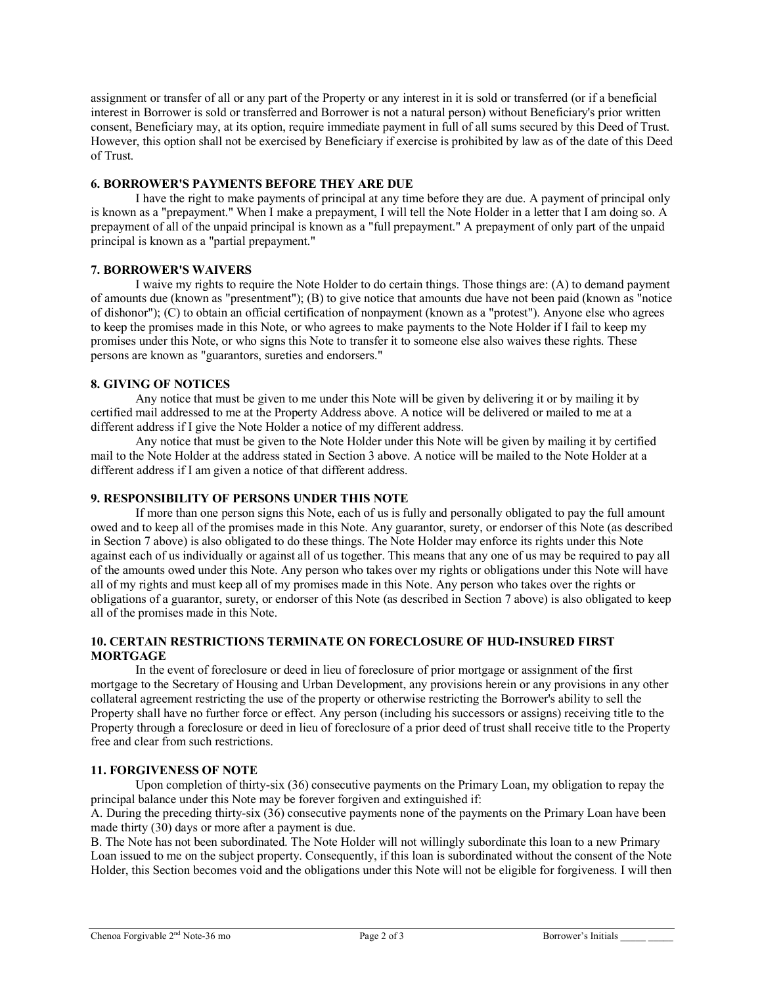assignment or transfer of all or any part of the Property or any interest in it is sold or transferred (or if a beneficial interest in Borrower is sold or transferred and Borrower is not a natural person) without Beneficiary's prior written consent, Beneficiary may, at its option, require immediate payment in full of all sums secured by this Deed of Trust. However, this option shall not be exercised by Beneficiary if exercise is prohibited by law as of the date of this Deed of Trust.

## **6. BORROWER'S PAYMENTS BEFORE THEY ARE DUE**

I have the right to make payments of principal at any time before they are due. A payment of principal only is known as a "prepayment." When I make a prepayment, I will tell the Note Holder in a letter that I am doing so. A prepayment of all of the unpaid principal is known as a "full prepayment." A prepayment of only part of the unpaid principal is known as a "partial prepayment."

## **7. BORROWER'S WAIVERS**

I waive my rights to require the Note Holder to do certain things. Those things are: (A) to demand payment of amounts due (known as "presentment"); (B) to give notice that amounts due have not been paid (known as "notice of dishonor"); (C) to obtain an official certification of nonpayment (known as a "protest"). Anyone else who agrees to keep the promises made in this Note, or who agrees to make payments to the Note Holder if I fail to keep my promises under this Note, or who signs this Note to transfer it to someone else also waives these rights. These persons are known as "guarantors, sureties and endorsers."

## **8. GIVING OF NOTICES**

Any notice that must be given to me under this Note will be given by delivering it or by mailing it by certified mail addressed to me at the Property Address above. A notice will be delivered or mailed to me at a different address if I give the Note Holder a notice of my different address.

Any notice that must be given to the Note Holder under this Note will be given by mailing it by certified mail to the Note Holder at the address stated in Section 3 above. A notice will be mailed to the Note Holder at a different address if I am given a notice of that different address.

## **9. RESPONSIBILITY OF PERSONS UNDER THIS NOTE**

If more than one person signs this Note, each of us is fully and personally obligated to pay the full amount owed and to keep all of the promises made in this Note. Any guarantor, surety, or endorser of this Note (as described in Section 7 above) is also obligated to do these things. The Note Holder may enforce its rights under this Note against each of us individually or against all of us together. This means that any one of us may be required to pay all of the amounts owed under this Note. Any person who takes over my rights or obligations under this Note will have all of my rights and must keep all of my promises made in this Note. Any person who takes over the rights or obligations of a guarantor, surety, or endorser of this Note (as described in Section 7 above) is also obligated to keep all of the promises made in this Note.

## **10. CERTAIN RESTRICTIONS TERMINATE ON FORECLOSURE OF HUD-INSURED FIRST MORTGAGE**

In the event of foreclosure or deed in lieu of foreclosure of prior mortgage or assignment of the first mortgage to the Secretary of Housing and Urban Development, any provisions herein or any provisions in any other collateral agreement restricting the use of the property or otherwise restricting the Borrower's ability to sell the Property shall have no further force or effect. Any person (including his successors or assigns) receiving title to the Property through a foreclosure or deed in lieu of foreclosure of a prior deed of trust shall receive title to the Property free and clear from such restrictions.

## **11. FORGIVENESS OF NOTE**

Upon completion of thirty-six (36) consecutive payments on the Primary Loan, my obligation to repay the principal balance under this Note may be forever forgiven and extinguished if:

A. During the preceding thirty-six (36) consecutive payments none of the payments on the Primary Loan have been made thirty (30) days or more after a payment is due.

B. The Note has not been subordinated. The Note Holder will not willingly subordinate this loan to a new Primary Loan issued to me on the subject property. Consequently, if this loan is subordinated without the consent of the Note Holder, this Section becomes void and the obligations under this Note will not be eligible for forgiveness. I will then